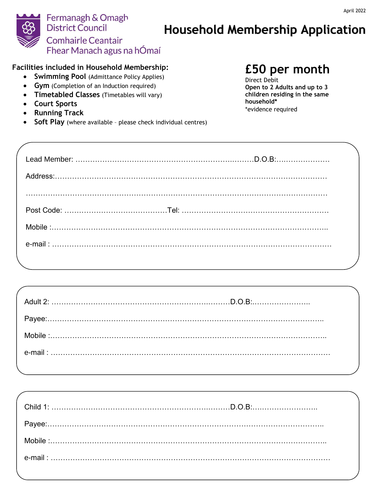

### **Facilities included in Household Membership:**

- **Swimming Pool** (Admittance Policy Applies)
- **Gym** (Completion of an Induction required)
- **Timetabled Classes** (Timetables will vary)
- **Court Sports**
- **Running Track**
- **Soft Play** (where available please check individual centres)

# **£50 per month**

Direct Debit **Open to 2 Adults and up to 3 children residing in the same household\*** \*evidence required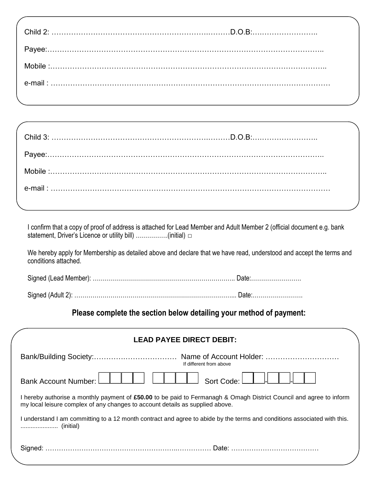I confirm that a copy of proof of address is attached for Lead Member and Adult Member 2 (official document e.g. bank statement, Driver's Licence or utility bill) …………….(initial) **□** 

We hereby apply for Membership as detailed above and declare that we have read, understood and accept the terms and conditions attached.

Signed (Lead Member): …………………………………………………………….. Date:…………………….

Signed (Adult 2): ……………………………………………………………………... Date:…………………….

## **Please complete the section below detailing your method of payment:**

| <b>LEAD PAYEE DIRECT DEBIT:</b>                                                                                                                                                                      |
|------------------------------------------------------------------------------------------------------------------------------------------------------------------------------------------------------|
| If different from above                                                                                                                                                                              |
| Sort Code:<br><b>Bank Account Number:</b>                                                                                                                                                            |
| I hereby authorise a monthly payment of £50.00 to be paid to Fermanagh & Omagh District Council and agree to inform<br>my local leisure complex of any changes to account details as supplied above. |
| I understand I am committing to a 12 month contract and agree to abide by the terms and conditions associated with this.                                                                             |
|                                                                                                                                                                                                      |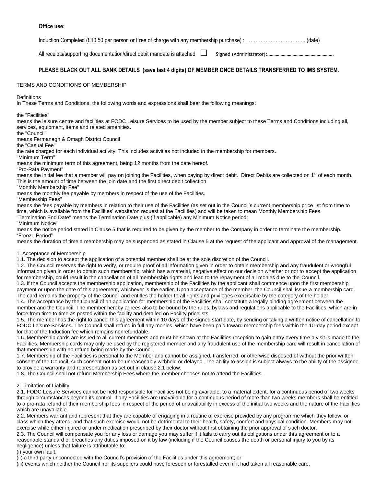Induction Completed (£10.50 per person or Free of charge with any membership purchase) : …………………………….. (date)

All receipts/supporting documentation/direct debit mandate is attached **□** Signed (Administrator):……………………………………………….

#### **PLEASE BLACK OUT ALL BANK DETAILS (save last 4 digits) OF MEMBER ONCE DETAILS TRANSFERRED TO IMS SYSTEM.**

#### TERMS AND CONDITIONS OF MEMBERSHIP

#### **Definitions**

In These Terms and Conditions, the following words and expressions shall bear the following meanings:

the "Facilities"

means the leisure centre and facilities at FODC Leisure Services to be used by the member subject to these Terms and Conditions including all, services, equipment, items and related amenities.

the "Council"

means Fermanagh & Omagh District Council

the "Casual Fee"

the rate charged for each individual activity. This includes activities not included in the membership for members.

"Minimum Term"

means the minimum term of this agreement, being 12 months from the date hereof.

"Pro-Rata Payment"

means the initial fee that a member will pay on joining the Facilities, when paying by direct debit. Direct Debits are collected on 1<sup>st</sup> of each month. This is the amount of time between the join date and the first direct debit collection.

"Monthly Membership Fee"

means the monthly fee payable by members in respect of the use of the Facilities.

"Membership Fees"

means the fees payable by members in relation to their use of the Facilities (as set out in the Council's current membership price list from time to time, which is available from the Facilities' website/on request at the Facilities) and will be taken to mean Monthly Membership Fees. "Termination End Date" means the Termination Date plus (if applicable) any Minimum Notice period;

"Minimum Notice"

means the notice period stated in Clause 5 that is required to be given by the member to the Company in order to terminate the membership. "Freeze Period"

means the duration of time a membership may be suspended as stated in Clause 5 at the request of the applicant and approval of the management.

#### 1. Acceptance of Membership

1.1. The decision to accept the application of a potential member shall be at the sole discretion of the Council.

1.2. The Council reserves the right to verify, or require proof of all information given in order to obtain membership and any fraudulent or wrongful information given in order to obtain such membership, which has a material, negative effect on our decision whether or not to accept the application for membership, could result in the cancellation of all membership rights and lead to the repayment of all monies due to the Council.

1.3. If the Council accepts the membership application, membership of the Facilities by the applicant shall commence upon the first membership payment or upon the date of this agreement, whichever is the earlier. Upon acceptance of the member, the Council shall issue a membership card. The card remains the property of the Council and entitles the holder to all rights and privileges exercisable by the category of the holder.

1.4. The acceptance by the Council of an application for membership of the Facilities shall constitute a legally binding agreement between the member and the Council. The member hereby agrees also to be bound by the rules, bylaws and regulations applicable to the Facilities, which are in force from time to time as posted within the facility and detailed on Facility pricelists.

1.5. The member has the right to cancel this agreement within 10 days of the signed start date, by sending or taking a written notice of cancellation to FODC Leisure Services. The Council shall refund in full any monies, which have been paid toward membership fees within the 10-day period except for that of the Induction fee which remains nonrefundable.

1.6. Membership cards are issued to all current members and must be shown at the Facilities reception to gain entry every time a visit is made to the Facilities. Membership cards may only be used by the registered member and any fraudulent use of the membership card will result in cancellation of that membership with no refund being made by the Council.

1.7. Membership of the Facilities is personal to the Member and cannot be assigned, transferred, or otherwise disposed of without the prior written consent of the Council, such consent not to be unreasonably withheld or delayed. The ability to assign is subject always to the ability of the assignee to provide a warranty and representation as set out in clause 2.1 below.

1.8. The Council shall not refund Membership Fees where the member chooses not to attend the Facilities.

#### 2. Limitation of Liability

2.1. FODC Leisure Services cannot be held responsible for Facilities not being available, to a material extent, for a continuous period of two weeks through circumstances beyond its control. If any Facilities are unavailable for a continuous period of more than two weeks members shall be entitled to a pro-rata refund of their membership fees in respect of the period of unavailability in excess of the initial two weeks and the nature of the Facilities which are unavailable.

2.2. Members warrant and represent that they are capable of engaging in a routine of exercise provided by any programme which they follow, or class which they attend, and that such exercise would not be detrimental to their health, safety, comfort and physical condition. Members may not exercise while either injured or under medication prescribed by their doctor without first obtaining the prior approval of such doctor.

2.3. The Council will compensate you for any loss or damage you may suffer if it fails to carry out its obligations under this agreement or to a reasonable standard or breaches any duties imposed on it by law (including if the Council causes the death or personal injury to you by its negligence) unless that failure is attributable to:

(i) your own fault:

(ii) a third party unconnected with the Council's provision of the Facilities under this agreement; or

(iii) events which neither the Council nor its suppliers could have foreseen or forestalled even if it had taken all reasonable care.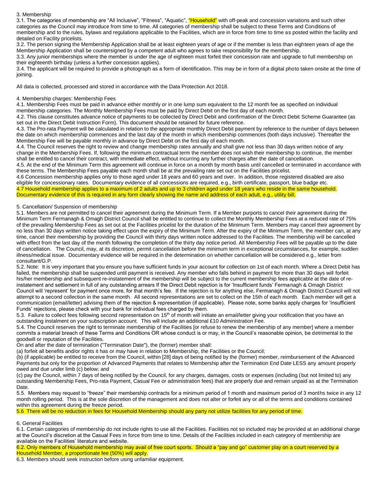#### 3. Membership

3.1. The categories of membership are "All Inclusive", "Fitness", "Aquatic", "Household" with off-peak and concession variations and such other categories as the Council may introduce from time to time. All categories of membership shall be subject to these Terms and Conditions of membership and to the rules, bylaws and regulations applicable to the Facilities, which are in force from time to time as posted within the facility and detailed on Facility pricelists.

3.2. The person signing the Membership Application shall be at least eighteen years of age or if the member is less than eighteen years of age the Membership Application shall be countersigned by a competent adult who agrees to take responsibility for the membership.

3.3. Any junior memberships where the member is under the age of eighteen must forfeit their concession rate and upgrade to full membership on their eighteenth birthday (unless a further concession applies).

3.4. The applicant will be required to provide a photograph as a form of identification. This may be in form of a digital photo taken onsite at the time of joining.

All data is collected, processed and stored in accordance with the Data Protection Act 2018.

#### 4. Membership charges: Membership Fees

4.1. Membership Fees must be paid in advance either monthly or in one lump sum equivalent to the 12 month fee as specified on individual membership categories. The Monthly Membership Fees must be paid by Direct Debit on the first day of each month.

4.2. This clause constitutes advance notice of payments to be collected by Direct Debit and confirmation of the Direct Debit Scheme Guarantee (as set out in the Direct Debit Instruction Form). This document should be retained for future reference.

4.3. The Pro-rata Payment will be calculated in relation to the appropriate monthly Direct Debit payment by reference to the number of days between the date on which membership commences and the last day of the month in which membership commences (both days inclusive). Thereafter the Membership Fee will be payable monthly in advance by Direct Debit on the first day of each month.

4.4. The Council reserves the right to review and change membership rates annually and shall give not less than 30 days written notice of any change in the Membership Fees. If, following the minimum contractual term the member does not wish their membership to continue, the member shall be entitled to cancel their contract, with immediate effect, without incurring any further charges after the date of cancellation.

4.5. At the end of the Minimum Term this agreement will continue in force on a month by month basis until cancelled or terminated in accordance with these terms. The Membership Fees payable each month shall be at the prevailing rate set out on the Facilities pricelist.

4.6 Concession membership applies only to those aged under 18 years and 60 years and over. In addition, those registered disabled are also eligible for concessionary rates. Documentary evidence of all concessions are required, e.g., birth certificate, passport, blue badge etc. 4.7 Household membership applies to a maximum of 2 adults and up to 3 children aged under 18 years who reside in the same household. Documentary evidence of this is required in any form clearly showing the name and address of each adult, e.g., utility bill.

#### 5. Cancellation/ Suspension of membership

5.1. Members are not permitted to cancel their agreement during the Minimum Term. If a Member purports to cancel their agreement during the Minimum Term Fermanagh & Omagh District Council shall be entitled to continue to collect the Monthly Membership Fees at a reduced rate of 75% of the prevailing Membership Fees as set out at the Facilities pricelist for the duration of the Minimum Term. Members may cancel their agreement by no less than 30 days written notice taking effect upon the expiry of the Minimum Term. After the expiry of the Minimum Term, the member can, at any time, cancel their membership by providing the Council with thirty days written notice addressed to the Facilities. The membership will be cancelled with effect from the last day of the month following the completion of the thirty day notice period. All Membership Fees will be payable up to the date of cancellation. The Council, may, at its discretion, permit cancellation before the minimum term in exceptional circumstances, for example, sudden illness/medical issue. Documentary evidence will be required in the determination on whether cancellation will be considered e.g., letter from consultant/G.P.

5.2. Note: It is very important that you ensure you have sufficient funds in your account for collection on 1st of each month. Where a Direct Debit has failed, the membership shall be suspended until payment is received. Any member who falls behind in payment for more than 30 days will forfeit his/her membership and subsequent re-instatement of the membership will be subject to the current membership fees applicable at the date of reinstatement and settlement in full of any outstanding arrears If the Direct Debit rejection is for 'Insufficient funds' Fermanagh & Omagh District Council will 'represent' for payment once more, for that month's fee. If the rejection is for anything else, Fermanagh & Omagh District Council will not attempt to a second collection in the same month. All second representations are set to collect on the 15th of each month. Each member will get a communication (email/letter) advising them of the rejection & representation (if applicable). Please note, some banks apply charges for 'Insufficient Funds' rejections, please check with your bank for individual fees charged by them.

5.3. Failure to collect fees following second representation on 15<sup>th</sup> of month will initiate an email/letter giving your notification that you have an outstanding instalment on your subscription account. This will include an additional £10 Administration Fee.

5.4. The Council reserves the right to terminate membership of the Facilities [or refuse to renew the membership of any member] where a member commits a material breach of these Terms and Conditions OR whose conduct is or may, in the Council's reasonable opinion, be detrimental to the goodwill or reputation of the Facilities.

On and after the date of termination ("Termination Date"), the (former) member shall:

(a) forfeit all benefits and/or rights it has or may have in relation to Membership, the Facilities or the Council;

(b) (if applicable) be entitled to receive from the Council, within [28] days of being notified by the (former) member, reimbursement of the Advanced Payments but only for the proportion of Advanced Payments that relates to Membership after the Termination End Date LESS any amount properly owed and due under limb (c) below; and

(c) pay the Council, within 7 days of being notified by the Council, for any charges, damages, costs or expenses (including (but not limited to) any outstanding Membership Fees, Pro-rata Payment, Casual Fee or administration fees) that are properly due and remain unpaid as at the Termination Date.

5.5. Members may request to "freeze" their membership contracts for a minimum period of 1 month and maximum period of 3 months twice in any 12 month rolling period. This is at the sole discretion of the management and does not alter or forfeit any or all of the terms and conditions contained within this agreement during the freeze period.

5.6 There will be no reduction in fees for Household Membership should any party not utilize facilities for any period of time.

#### 6. General Facilities

6.1. Certain categories of membership do not include rights to use all the Facilities. Facilities not so included may be provided at an additional charge at the Council's discretion at the Casual Fees in force from time to time. Details of the Facilities included in each category of membership are available on the Facilities' literature and website.

6.2. Only members of Household membership may avail of free court sports. Should a "pay and go" customer play on a court reserved by a Household Member, a proportionate fee (50%) will apply.

6.3. Members should seek instruction before using unfamiliar equipment.